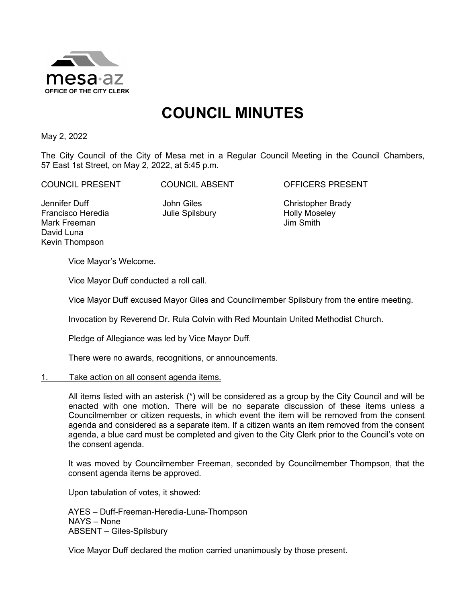

# **COUNCIL MINUTES**

May 2, 2022

The City Council of the City of Mesa met in a Regular Council Meeting in the Council Chambers, 57 East 1st Street, on May 2, 2022, at 5:45 p.m.

COUNCIL PRESENT COUNCIL ABSENT OFFICERS PRESENT

Jennifer Duff Francisco Heredia Mark Freeman David Luna Kevin Thompson

John Giles Julie Spilsbury

Christopher Brady Holly Moseley Jim Smith

Vice Mayor's Welcome.

Vice Mayor Duff conducted a roll call.

Vice Mayor Duff excused Mayor Giles and Councilmember Spilsbury from the entire meeting.

Invocation by Reverend Dr. Rula Colvin with Red Mountain United Methodist Church.

Pledge of Allegiance was led by Vice Mayor Duff.

There were no awards, recognitions, or announcements.

## 1. Take action on all consent agenda items.

All items listed with an asterisk (\*) will be considered as a group by the City Council and will be enacted with one motion. There will be no separate discussion of these items unless a Councilmember or citizen requests, in which event the item will be removed from the consent agenda and considered as a separate item. If a citizen wants an item removed from the consent agenda, a blue card must be completed and given to the City Clerk prior to the Council's vote on the consent agenda.

It was moved by Councilmember Freeman, seconded by Councilmember Thompson, that the consent agenda items be approved.

Upon tabulation of votes, it showed:

AYES – Duff-Freeman-Heredia-Luna-Thompson NAYS – None ABSENT – Giles-Spilsbury

Vice Mayor Duff declared the motion carried unanimously by those present.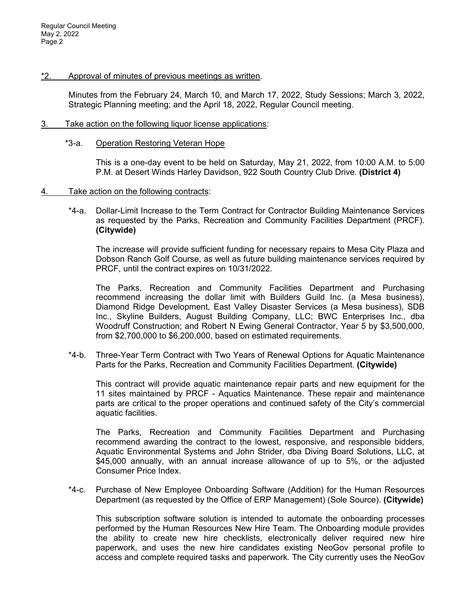# \*2. Approval of minutes of previous meetings as written.

Minutes from the February 24, March 10, and March 17, 2022, Study Sessions; March 3, 2022, Strategic Planning meeting; and the April 18, 2022, Regular Council meeting.

# 3. Take action on the following liquor license applications:

## \*3-a. Operation Restoring Veteran Hope

This is a one-day event to be held on Saturday, May 21, 2022, from 10:00 A.M. to 5:00 P.M. at Desert Winds Harley Davidson, 922 South Country Club Drive. **(District 4)**

# 4. Take action on the following contracts:

\*4-a. Dollar-Limit Increase to the Term Contract for Contractor Building Maintenance Services as requested by the Parks, Recreation and Community Facilities Department (PRCF). **(Citywide)**

The increase will provide sufficient funding for necessary repairs to Mesa City Plaza and Dobson Ranch Golf Course, as well as future building maintenance services required by PRCF, until the contract expires on 10/31/2022.

The Parks, Recreation and Community Facilities Department and Purchasing recommend increasing the dollar limit with Builders Guild Inc. (a Mesa business), Diamond Ridge Development, East Valley Disaster Services (a Mesa business), SDB Inc., Skyline Builders, August Building Company, LLC; BWC Enterprises Inc., dba Woodruff Construction; and Robert N Ewing General Contractor, Year 5 by \$3,500,000, from \$2,700,000 to \$6,200,000, based on estimated requirements.

\*4-b. Three-Year Term Contract with Two Years of Renewal Options for Aquatic Maintenance Parts for the Parks, Recreation and Community Facilities Department. **(Citywide)**

This contract will provide aquatic maintenance repair parts and new equipment for the 11 sites maintained by PRCF - Aquatics Maintenance. These repair and maintenance parts are critical to the proper operations and continued safety of the City's commercial aquatic facilities.

The Parks, Recreation and Community Facilities Department and Purchasing recommend awarding the contract to the lowest, responsive, and responsible bidders, Aquatic Environmental Systems and John Strider, dba Diving Board Solutions, LLC, at \$45,000 annually, with an annual increase allowance of up to 5%, or the adjusted Consumer Price Index.

\*4-c. Purchase of New Employee Onboarding Software (Addition) for the Human Resources Department (as requested by the Office of ERP Management) (Sole Source). **(Citywide)**

This subscription software solution is intended to automate the onboarding processes performed by the Human Resources New Hire Team. The Onboarding module provides the ability to create new hire checklists, electronically deliver required new hire paperwork, and uses the new hire candidates existing NeoGov personal profile to access and complete required tasks and paperwork. The City currently uses the NeoGov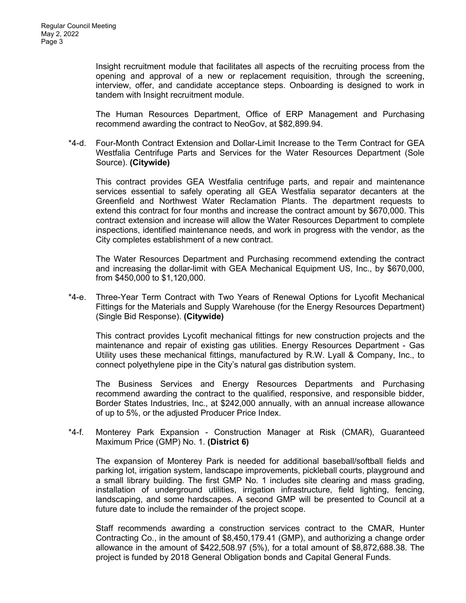Insight recruitment module that facilitates all aspects of the recruiting process from the opening and approval of a new or replacement requisition, through the screening, interview, offer, and candidate acceptance steps. Onboarding is designed to work in tandem with Insight recruitment module.

The Human Resources Department, Office of ERP Management and Purchasing recommend awarding the contract to NeoGov, at \$82,899.94.

\*4-d. Four-Month Contract Extension and Dollar-Limit Increase to the Term Contract for GEA Westfalia Centrifuge Parts and Services for the Water Resources Department (Sole Source). **(Citywide)**

This contract provides GEA Westfalia centrifuge parts, and repair and maintenance services essential to safely operating all GEA Westfalia separator decanters at the Greenfield and Northwest Water Reclamation Plants. The department requests to extend this contract for four months and increase the contract amount by \$670,000. This contract extension and increase will allow the Water Resources Department to complete inspections, identified maintenance needs, and work in progress with the vendor, as the City completes establishment of a new contract.

The Water Resources Department and Purchasing recommend extending the contract and increasing the dollar-limit with GEA Mechanical Equipment US, Inc., by \$670,000, from \$450,000 to \$1,120,000.

\*4-e. Three-Year Term Contract with Two Years of Renewal Options for Lycofit Mechanical Fittings for the Materials and Supply Warehouse (for the Energy Resources Department) (Single Bid Response). **(Citywide)**

This contract provides Lycofit mechanical fittings for new construction projects and the maintenance and repair of existing gas utilities. Energy Resources Department - Gas Utility uses these mechanical fittings, manufactured by R.W. Lyall & Company, Inc., to connect polyethylene pipe in the City's natural gas distribution system.

The Business Services and Energy Resources Departments and Purchasing recommend awarding the contract to the qualified, responsive, and responsible bidder, Border States Industries, Inc., at \$242,000 annually, with an annual increase allowance of up to 5%, or the adjusted Producer Price Index.

\*4-f. Monterey Park Expansion - Construction Manager at Risk (CMAR), Guaranteed Maximum Price (GMP) No. 1. **(District 6)**

The expansion of Monterey Park is needed for additional baseball/softball fields and parking lot, irrigation system, landscape improvements, pickleball courts, playground and a small library building. The first GMP No. 1 includes site clearing and mass grading, installation of underground utilities, irrigation infrastructure, field lighting, fencing, landscaping, and some hardscapes. A second GMP will be presented to Council at a future date to include the remainder of the project scope.

Staff recommends awarding a construction services contract to the CMAR, Hunter Contracting Co., in the amount of \$8,450,179.41 (GMP), and authorizing a change order allowance in the amount of \$422,508.97 (5%), for a total amount of \$8,872,688.38. The project is funded by 2018 General Obligation bonds and Capital General Funds.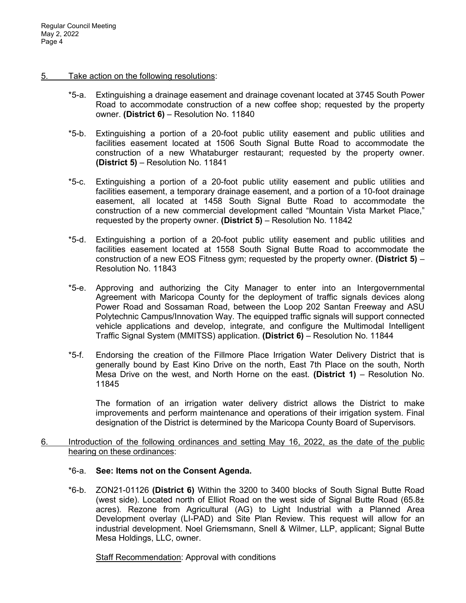#### 5. Take action on the following resolutions:

- \*5-a. Extinguishing a drainage easement and drainage covenant located at 3745 South Power Road to accommodate construction of a new coffee shop; requested by the property owner. **(District 6)** – Resolution No. 11840
- \*5-b. Extinguishing a portion of a 20-foot public utility easement and public utilities and facilities easement located at 1506 South Signal Butte Road to accommodate the construction of a new Whataburger restaurant; requested by the property owner. **(District 5)** – Resolution No. 11841
- \*5-c. Extinguishing a portion of a 20-foot public utility easement and public utilities and facilities easement, a temporary drainage easement, and a portion of a 10-foot drainage easement, all located at 1458 South Signal Butte Road to accommodate the construction of a new commercial development called "Mountain Vista Market Place," requested by the property owner. **(District 5)** – Resolution No. 11842
- \*5-d. Extinguishing a portion of a 20-foot public utility easement and public utilities and facilities easement located at 1558 South Signal Butte Road to accommodate the construction of a new EOS Fitness gym; requested by the property owner. **(District 5)** – Resolution No. 11843
- \*5-e. Approving and authorizing the City Manager to enter into an Intergovernmental Agreement with Maricopa County for the deployment of traffic signals devices along Power Road and Sossaman Road, between the Loop 202 Santan Freeway and ASU Polytechnic Campus/Innovation Way. The equipped traffic signals will support connected vehicle applications and develop, integrate, and configure the Multimodal Intelligent Traffic Signal System (MMITSS) application. **(District 6)** – Resolution No. 11844
- \*5-f. Endorsing the creation of the Fillmore Place Irrigation Water Delivery District that is generally bound by East Kino Drive on the north, East 7th Place on the south, North Mesa Drive on the west, and North Horne on the east. **(District 1)** – Resolution No. 11845

The formation of an irrigation water delivery district allows the District to make improvements and perform maintenance and operations of their irrigation system. Final designation of the District is determined by the Maricopa County Board of Supervisors.

6. Introduction of the following ordinances and setting May 16, 2022, as the date of the public hearing on these ordinances:

## \*6-a. **See: Items not on the Consent Agenda.**

\*6-b. ZON21-01126 **(District 6)** Within the 3200 to 3400 blocks of South Signal Butte Road (west side). Located north of Elliot Road on the west side of Signal Butte Road (65.8 $\pm$ acres). Rezone from Agricultural (AG) to Light Industrial with a Planned Area Development overlay (LI-PAD) and Site Plan Review. This request will allow for an industrial development. Noel Griemsmann, Snell & Wilmer, LLP, applicant; Signal Butte Mesa Holdings, LLC, owner.

Staff Recommendation: Approval with conditions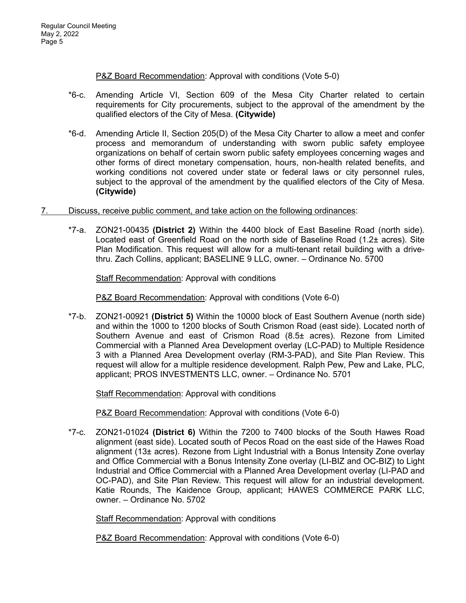P&Z Board Recommendation: Approval with conditions (Vote 5-0)

- \*6-c. Amending Article VI, Section 609 of the Mesa City Charter related to certain requirements for City procurements, subject to the approval of the amendment by the qualified electors of the City of Mesa. **(Citywide)**
- \*6-d. Amending Article II, Section 205(D) of the Mesa City Charter to allow a meet and confer process and memorandum of understanding with sworn public safety employee organizations on behalf of certain sworn public safety employees concerning wages and other forms of direct monetary compensation, hours, non-health related benefits, and working conditions not covered under state or federal laws or city personnel rules, subject to the approval of the amendment by the qualified electors of the City of Mesa. **(Citywide)**
- 7. Discuss, receive public comment, and take action on the following ordinances:
	- \*7-a. ZON21-00435 **(District 2)** Within the 4400 block of East Baseline Road (north side). Located east of Greenfield Road on the north side of Baseline Road (1.2± acres). Site Plan Modification. This request will allow for a multi-tenant retail building with a drivethru. Zach Collins, applicant; BASELINE 9 LLC, owner. – Ordinance No. 5700

Staff Recommendation: Approval with conditions

P&Z Board Recommendation: Approval with conditions (Vote 6-0)

\*7-b. ZON21-00921 **(District 5)** Within the 10000 block of East Southern Avenue (north side) and within the 1000 to 1200 blocks of South Crismon Road (east side). Located north of Southern Avenue and east of Crismon Road (8.5± acres). Rezone from Limited Commercial with a Planned Area Development overlay (LC-PAD) to Multiple Residence 3 with a Planned Area Development overlay (RM-3-PAD), and Site Plan Review. This request will allow for a multiple residence development. Ralph Pew, Pew and Lake, PLC, applicant; PROS INVESTMENTS LLC, owner. – Ordinance No. 5701

Staff Recommendation: Approval with conditions

P&Z Board Recommendation: Approval with conditions (Vote 6-0)

\*7-c. ZON21-01024 **(District 6)** Within the 7200 to 7400 blocks of the South Hawes Road alignment (east side). Located south of Pecos Road on the east side of the Hawes Road alignment (13± acres). Rezone from Light Industrial with a Bonus Intensity Zone overlay and Office Commercial with a Bonus Intensity Zone overlay (LI-BIZ and OC-BIZ) to Light Industrial and Office Commercial with a Planned Area Development overlay (LI-PAD and OC-PAD), and Site Plan Review. This request will allow for an industrial development. Katie Rounds, The Kaidence Group, applicant; HAWES COMMERCE PARK LLC, owner. – Ordinance No. 5702

**Staff Recommendation: Approval with conditions** 

P&Z Board Recommendation: Approval with conditions (Vote 6-0)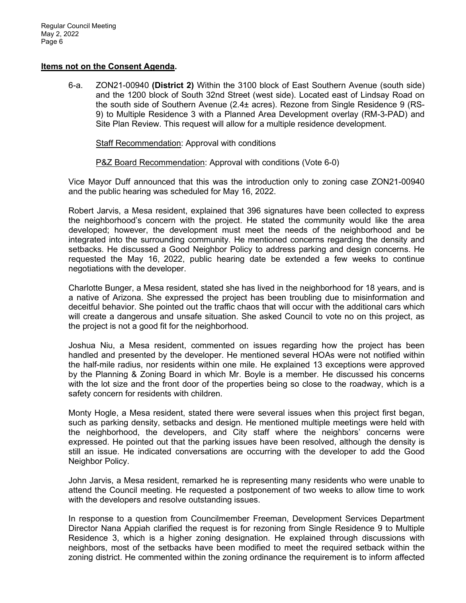# **Items not on the Consent Agenda.**

6-a. ZON21-00940 **(District 2)** Within the 3100 block of East Southern Avenue (south side) and the 1200 block of South 32nd Street (west side). Located east of Lindsay Road on the south side of Southern Avenue (2.4± acres). Rezone from Single Residence 9 (RS-9) to Multiple Residence 3 with a Planned Area Development overlay (RM-3-PAD) and Site Plan Review. This request will allow for a multiple residence development.

Staff Recommendation: Approval with conditions

P&Z Board Recommendation: Approval with conditions (Vote 6-0)

Vice Mayor Duff announced that this was the introduction only to zoning case ZON21-00940 and the public hearing was scheduled for May 16, 2022.

Robert Jarvis, a Mesa resident, explained that 396 signatures have been collected to express the neighborhood's concern with the project. He stated the community would like the area developed; however, the development must meet the needs of the neighborhood and be integrated into the surrounding community. He mentioned concerns regarding the density and setbacks. He discussed a Good Neighbor Policy to address parking and design concerns. He requested the May 16, 2022, public hearing date be extended a few weeks to continue negotiations with the developer.

Charlotte Bunger, a Mesa resident, stated she has lived in the neighborhood for 18 years, and is a native of Arizona. She expressed the project has been troubling due to misinformation and deceitful behavior. She pointed out the traffic chaos that will occur with the additional cars which will create a dangerous and unsafe situation. She asked Council to vote no on this project, as the project is not a good fit for the neighborhood.

Joshua Niu, a Mesa resident, commented on issues regarding how the project has been handled and presented by the developer. He mentioned several HOAs were not notified within the half-mile radius, nor residents within one mile. He explained 13 exceptions were approved by the Planning & Zoning Board in which Mr. Boyle is a member. He discussed his concerns with the lot size and the front door of the properties being so close to the roadway, which is a safety concern for residents with children.

Monty Hogle, a Mesa resident, stated there were several issues when this project first began, such as parking density, setbacks and design. He mentioned multiple meetings were held with the neighborhood, the developers, and City staff where the neighbors' concerns were expressed. He pointed out that the parking issues have been resolved, although the density is still an issue. He indicated conversations are occurring with the developer to add the Good Neighbor Policy.

John Jarvis, a Mesa resident, remarked he is representing many residents who were unable to attend the Council meeting. He requested a postponement of two weeks to allow time to work with the developers and resolve outstanding issues.

In response to a question from Councilmember Freeman, Development Services Department Director Nana Appiah clarified the request is for rezoning from Single Residence 9 to Multiple Residence 3, which is a higher zoning designation. He explained through discussions with neighbors, most of the setbacks have been modified to meet the required setback within the zoning district. He commented within the zoning ordinance the requirement is to inform affected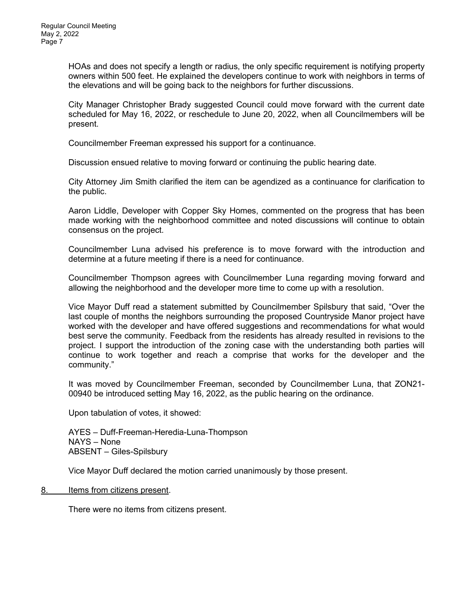HOAs and does not specify a length or radius, the only specific requirement is notifying property owners within 500 feet. He explained the developers continue to work with neighbors in terms of the elevations and will be going back to the neighbors for further discussions.

City Manager Christopher Brady suggested Council could move forward with the current date scheduled for May 16, 2022, or reschedule to June 20, 2022, when all Councilmembers will be present.

Councilmember Freeman expressed his support for a continuance.

Discussion ensued relative to moving forward or continuing the public hearing date.

City Attorney Jim Smith clarified the item can be agendized as a continuance for clarification to the public.

Aaron Liddle, Developer with Copper Sky Homes, commented on the progress that has been made working with the neighborhood committee and noted discussions will continue to obtain consensus on the project.

Councilmember Luna advised his preference is to move forward with the introduction and determine at a future meeting if there is a need for continuance.

Councilmember Thompson agrees with Councilmember Luna regarding moving forward and allowing the neighborhood and the developer more time to come up with a resolution.

Vice Mayor Duff read a statement submitted by Councilmember Spilsbury that said, "Over the last couple of months the neighbors surrounding the proposed Countryside Manor project have worked with the developer and have offered suggestions and recommendations for what would best serve the community. Feedback from the residents has already resulted in revisions to the project. I support the introduction of the zoning case with the understanding both parties will continue to work together and reach a comprise that works for the developer and the community."

It was moved by Councilmember Freeman, seconded by Councilmember Luna, that ZON21- 00940 be introduced setting May 16, 2022, as the public hearing on the ordinance.

Upon tabulation of votes, it showed:

AYES – Duff-Freeman-Heredia-Luna-Thompson NAYS – None ABSENT – Giles-Spilsbury

Vice Mayor Duff declared the motion carried unanimously by those present.

## 8. Items from citizens present.

There were no items from citizens present.